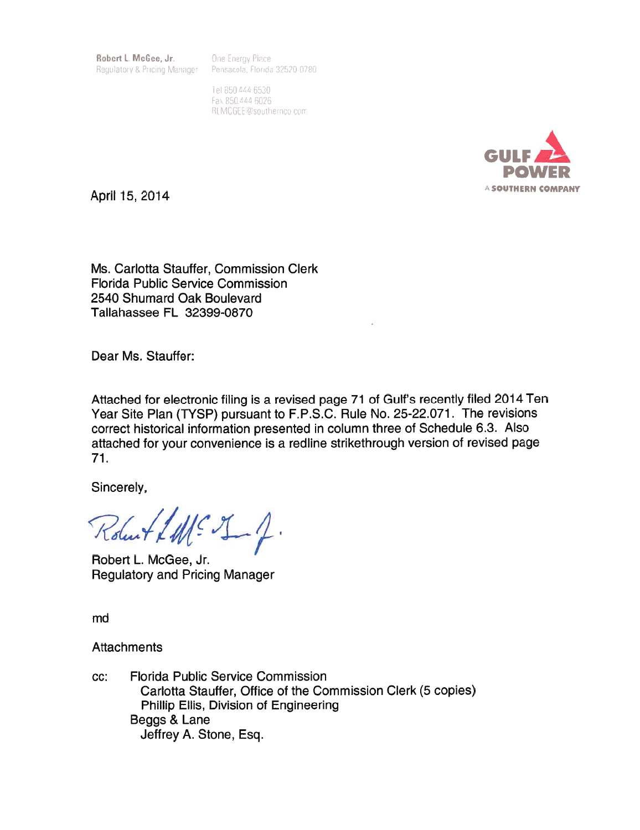Robert L. McGee, Jr. Requlatory & Pricing Manager One Energy Place Pensacola, Florida 32520-0780

Tel 850 444 6530 Fax 850.444 6026 RLMCGEE@southernco.com



April 15, 2014

Ms. Carlotta Stauffer, Commission Clerk **Florida Public Service Commission** 2540 Shumard Oak Boulevard Tallahassee FL 32399-0870

Dear Ms. Stauffer:

Attached for electronic filing is a revised page 71 of Gulf's recently filed 2014 Ten Year Site Plan (TYSP) pursuant to F.P.S.C. Rule No. 25-22.071. The revisions correct historical information presented in column three of Schedule 6.3. Also attached for your convenience is a redline strikethrough version of revised page  $71.$ 

Sincerely,

Robert LME J\_f.

Robert L. McGee, Jr. **Regulatory and Pricing Manager** 

md

**Attachments** 

**Florida Public Service Commission** CC: Carlotta Stauffer, Office of the Commission Clerk (5 copies) Phillip Ellis, Division of Engineering Beggs & Lane Jeffrey A. Stone, Esq.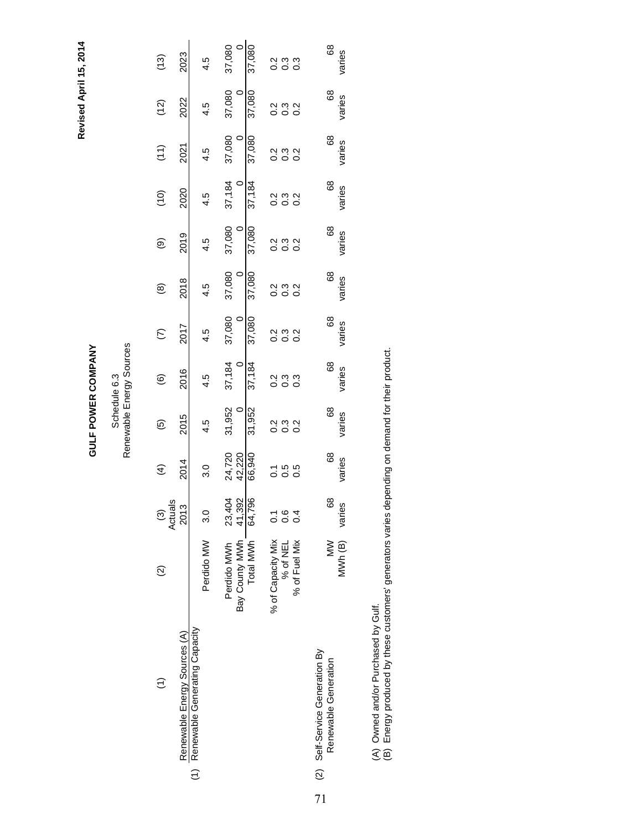Revised April 15, 2014 **Revised April 15, 2014**

## **GULF POWER COMPANY GULF POWER COMPANY**

## Schedule 6.3<br>Renewable Energy Sources Renewable Energy Sources Schedule 6.3

| (13)                                   | 2023                         | 4.5                               | 37,080            | 37,080                                    | sia<br>Sio<br>Sio          |                   |               | 8<br>varies                                            |
|----------------------------------------|------------------------------|-----------------------------------|-------------------|-------------------------------------------|----------------------------|-------------------|---------------|--------------------------------------------------------|
| (12)                                   | 2022                         | 4.5                               | 37,080            | 37,080                                    | a ma<br>O O O              |                   |               | 89<br>varies                                           |
| (11)                                   | 2021                         | 4.5                               | 37,080            | 37,080                                    | s<br>coco                  |                   |               | 68<br>varies                                           |
| (10)                                   | 2020                         | 4.5                               | 37,184            | 37,184                                    | a ma<br>O O O              |                   |               | 89<br>varies                                           |
| ම                                      | 2019                         | 4.5                               | 37,080            | 37,080                                    | a ma<br>O O O              |                   |               | 89<br>varies                                           |
| @                                      | 2018                         | 4.5                               | 37,080<br>$\circ$ | 37,080                                    | s<br>coo<br>coo            |                   |               | 89<br>varies                                           |
| E                                      | 2017                         | 4.5                               | 37,080            | 37,080                                    | 2<br>0<br>0<br>0<br>0<br>0 |                   |               | 8<br>varies                                            |
| ම                                      | 2016                         | 4.5                               | 37,184            | 37,184                                    | a m<br>O O O<br>O O        |                   |               | 89<br>varies                                           |
| ම                                      | 2015                         | 4.5                               | 31,952            | 31,952                                    | a ma<br>O O O              |                   |               | 89<br>varies                                           |
| E                                      | 2014                         | .<br>ನ                            | 24,720<br>42,220  | 66,940                                    |                            | 1<br>0 0 0<br>0 0 |               | 89<br>varies                                           |
| ≌<br>Actual<br>$\widehat{\mathcal{C}}$ | 2013                         | 3.0                               | 23,404            |                                           | 0<br>0 0 0<br>0 0          |                   |               | 8<br>varies                                            |
| $\widehat{\Omega}$                     |                              | Perdido MW                        | Perdido MWh       | Bay County MWh 41,392<br>Total MWh 64,796 | % of Capacity Mix          | % of NEL          | % of Fuel Mix | MWh(B)<br>$\geq$                                       |
|                                        | Renewable Energy Sources (A) | (1) Renewable Generating Capacity |                   |                                           |                            |                   |               | (2) Self-Service Generation By<br>Renewable Generation |

(A) Owned and/or Purchased by Gulf.

71

(A) Owned and/or Purchased by Gulf.<br>(B) Energy produced by these customers' generators varies depending on demand for their product. (B) Energy produced by these customers' generators varies depending on demand for their product.